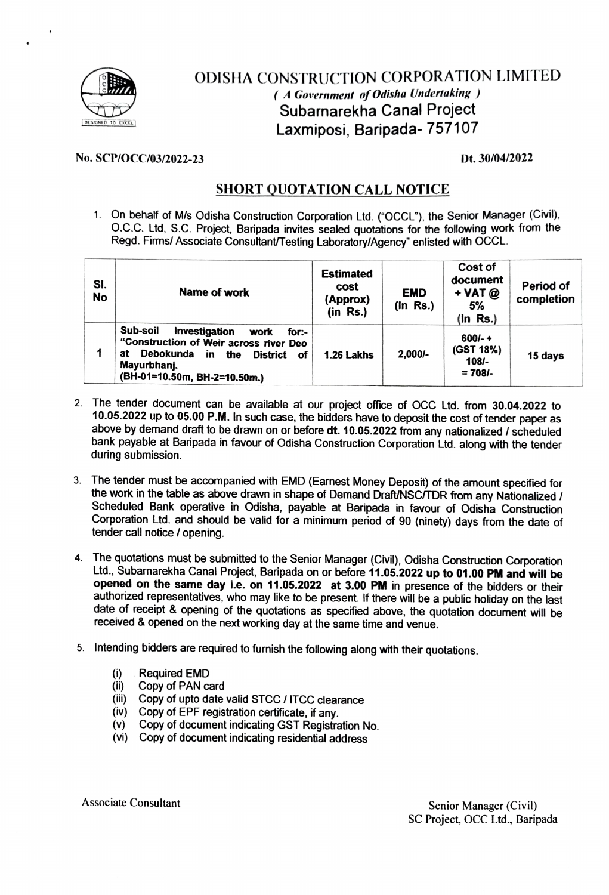

## ODISHA CONSTRUCTION CORPORATION LIMITED (A Government of Odisha Undertaking ) Subarnarekha Canal Project DESIGNE TO EXCEL DESIGNE TO EXCEL DESIGNED TO EXCEL DESIGNED TO LAXMIPOSI, Baripada- 757107

## No. SCP/OCC/03/2022-23 Dt. 30/04/2022

## SHORT QUOTATION CALL NOTICE

1. On behalf of M/s Odisha Construction Corporation Ltd. ("OCCL"), the Senior Manager (Cvil), O.c.c. Ltd, S.C. Project, Baripada invites sealed quotations for the following work from the Regd. Firms/ Associate Consultant/Testing Laboratory/Agency" enlisted with OCCL.

| SI.<br><b>No</b> | Name of work                                                                                                                                                                              | <b>Estimated</b><br>cost<br>(Approx)<br>$(in$ $Rs.)$ | <b>EMD</b><br>$($ In Rs. $)$ | Cost of<br>document<br>$+$ VAT $@$<br>5%<br>$(ln$ Rs.) | Period of<br>completion |
|------------------|-------------------------------------------------------------------------------------------------------------------------------------------------------------------------------------------|------------------------------------------------------|------------------------------|--------------------------------------------------------|-------------------------|
|                  | Sub-soil<br>Investigation<br>for:-<br>work<br>"Construction of Weir across river Deo<br>Debokunda in<br>at<br><b>District</b><br>the<br>οf<br>Mayurbhanj.<br>(BH-01=10.50m, BH-2=10.50m.) | 1.26 Lakhs                                           | $2.000/-$                    | $600/- +$<br>(GST 18%)<br>$108/-$<br>$= 708/-$         | 15 days                 |

- 2 The tender document can be available at our project office of OCC Ltd. from 30.04.2022 to 10.05.2022 up to 05.0 P.M. In such case, the bidders have to deposit the cost of tender paper as above by demand draft to be drawn on or before dt. 10.05.2022 from any nationalized / scheduled bank payable at Baripada in favour of Odisha Construction Corporation Ltd. along with the tender during submission.
- 3. The tender must be accompanied with EMD (Earnest Money Deposit) of the amount specified for the work in the table as above drawn in shape of Demand Draft/NSC/TDR from any Nationalized / Scheduled Bank operative in Odisha. payable at Baripada in favour of Odisha Construction Corporation Ltd. and should be valid for a minimum period of 90 (ninety) days from the date of tender call notice / opening.
- The quotations must be submited to the Senior Manager (Civil), Odisha Construction Corporation Ltd., Subarnarekha Canal Project, Baripada on or before 11.05.2022 up to 01.00 PM and will be opened on the same day i.e. on 11.05.2022 at 3.00 PM in presence of the bidders or their authorized representatives, who may like to be present. If there will be a public holiday on the last date of receipt & opening of the quotations as specified above, the quotation document will be received & opened on the next working day at the same time and venue.
- 5. Intending bidders are required to furnish the following along with their quotations.
	- Required EMD (i)<br>(ii)
	- Copy of PAN card
	- (iii)<br>(iv) Copy of upto date valid STCC / ITCC clearance
	- Copy of EPF registration certificate, if any.
	- (v) Copy of document indicating GST Registration No.
	- (vi) Copy of document indicating residential address

Associate Consultant Senior Manager (Civil)

SC Project, OCC Ltd., Baripada